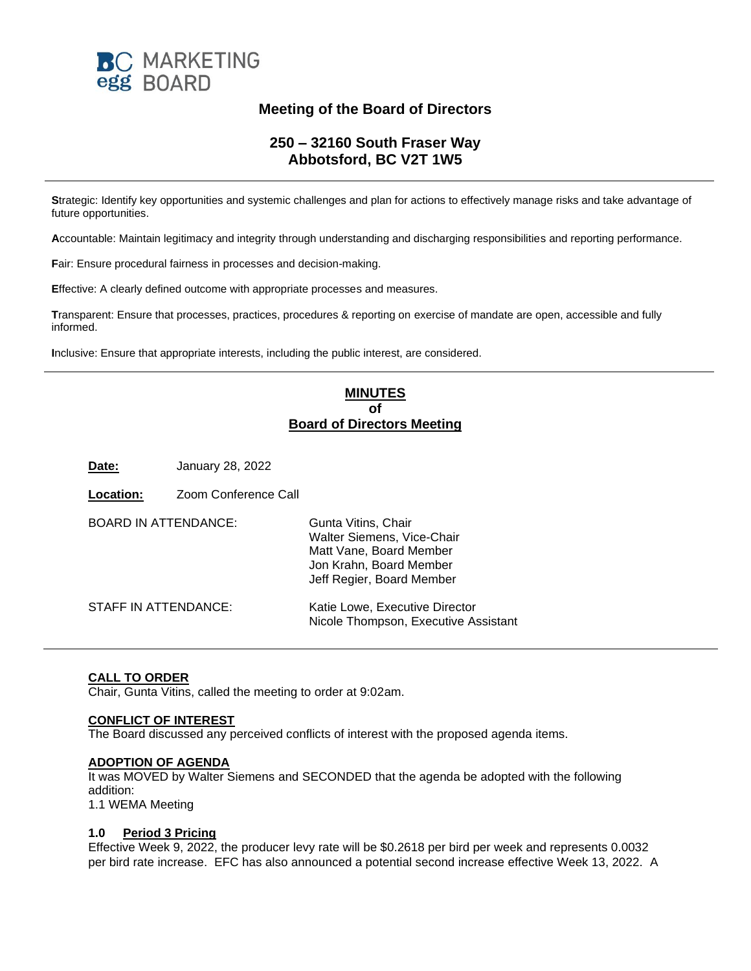

# **Meeting of the Board of Directors**

## **250 – 32160 South Fraser Way Abbotsford, BC V2T 1W5**

**S**trategic: Identify key opportunities and systemic challenges and plan for actions to effectively manage risks and take advantage of future opportunities.

**A**ccountable: Maintain legitimacy and integrity through understanding and discharging responsibilities and reporting performance.

**F**air: Ensure procedural fairness in processes and decision-making.

**E**ffective: A clearly defined outcome with appropriate processes and measures.

**T**ransparent: Ensure that processes, practices, procedures & reporting on exercise of mandate are open, accessible and fully informed.

**I**nclusive: Ensure that appropriate interests, including the public interest, are considered.

## **MINUTES of Board of Directors Meeting**

**Date:** January 28, 2022

| Location:                   | Zoom Conference Call |                                                                                                                                      |
|-----------------------------|----------------------|--------------------------------------------------------------------------------------------------------------------------------------|
| <b>BOARD IN ATTENDANCE:</b> |                      | Gunta Vitins, Chair<br>Walter Siemens, Vice-Chair<br>Matt Vane, Board Member<br>Jon Krahn, Board Member<br>Jeff Regier, Board Member |
| <b>STAFF IN ATTENDANCE:</b> |                      | Katie Lowe, Executive Director<br>Nicole Thompson, Executive Assistant                                                               |

### **CALL TO ORDER**

Chair, Gunta Vitins, called the meeting to order at 9:02am.

#### **CONFLICT OF INTEREST**

The Board discussed any perceived conflicts of interest with the proposed agenda items.

#### **ADOPTION OF AGENDA**

It was MOVED by Walter Siemens and SECONDED that the agenda be adopted with the following addition: 1.1 WEMA Meeting

#### **1.0 Period 3 Pricing**

Effective Week 9, 2022, the producer levy rate will be \$0.2618 per bird per week and represents 0.0032 per bird rate increase. EFC has also announced a potential second increase effective Week 13, 2022. A